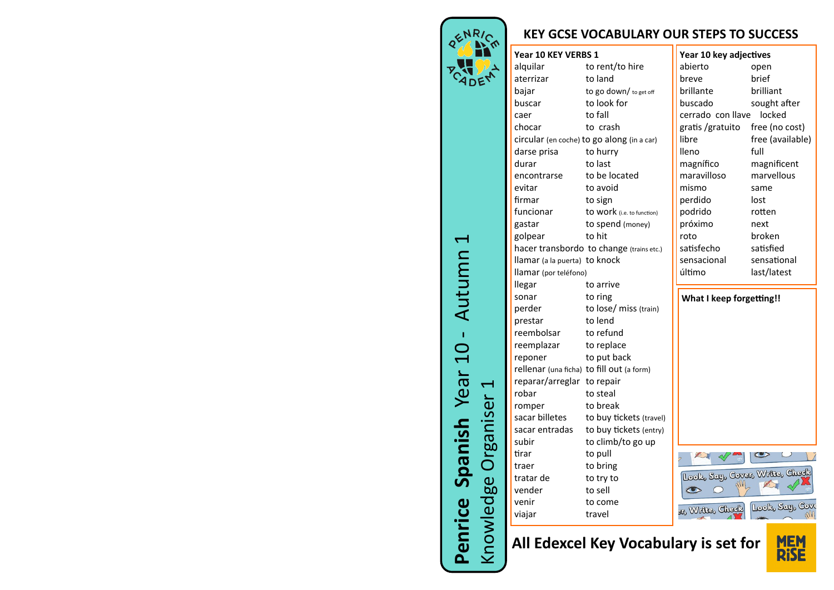

## **KEY GCSE VOCABULARY OUR STEPS TO SUCCESS**

## **Year 10 KEY VERBS 1**

| alquilar                                  | to rent/to hire                            |
|-------------------------------------------|--------------------------------------------|
| aterrizar                                 | to land                                    |
| bajar                                     | to go down/ to get off                     |
| buscar                                    | to look for                                |
| caer                                      | to fall                                    |
| chocar                                    | to crash                                   |
|                                           | circular (en coche) to go along (in a car) |
| darse prisa                               | to hurry                                   |
| durar                                     | to last                                    |
| encontrarse                               | to be located                              |
| evitar                                    | to avoid                                   |
| firmar                                    | to sign                                    |
| funcionar                                 | to work (i.e. to function)                 |
| gastar                                    | to spend (money)                           |
| golpear                                   | to hit                                     |
|                                           | hacer transbordo to change (trains etc.)   |
| llamar (a la puerta) to knock             |                                            |
| llamar (por teléfono)                     |                                            |
| llegar                                    | to arrive                                  |
| sonar                                     | to ring                                    |
| perder                                    | to lose/ miss (train)                      |
| prestar                                   | to lend                                    |
| reembolsar                                | to refund                                  |
| reemplazar                                | to replace                                 |
| reponer                                   | to put back                                |
| rellenar (una ficha) to fill out (a form) |                                            |
| reparar/arreglar                          | to repair                                  |
| robar                                     | to steal                                   |
| romper                                    | to break                                   |
| sacar billetes                            | to buy tickets (travel)                    |
| sacar entradas                            | to buy tickets (entry)                     |
| subir                                     | to climb/to go up                          |
| tirar                                     | to pull                                    |
| traer                                     | to bring                                   |
| tratar de                                 | to try to                                  |
| vender                                    | to sell                                    |
| venir                                     | to come                                    |
| viajar                                    | travel                                     |
|                                           |                                            |

| Year 10 key adjectives |                  |
|------------------------|------------------|
| abierto                | open             |
| breve                  | brief            |
| brillante              | brilliant        |
| buscado                | sought after     |
| cerrado con llave      | locked           |
| gratis /gratuito       | free (no cost)   |
| libre                  | free (available) |
| lleno                  | full             |
| magnífico              | magnificent      |
| maravilloso            | marvellous       |
| mismo                  | same             |
| perdido                | lost             |
| podrido                | rotten           |
| próximo                | next             |
| roto                   | broken           |
| satisfecho             | satisfied        |
| sensacional            | sensational      |
| último                 | last/latest      |
|                        |                  |

**What I keep forgetting!!**



**MEM**<br>RISE

**All Edexcel Key Vocabulary is set for** 

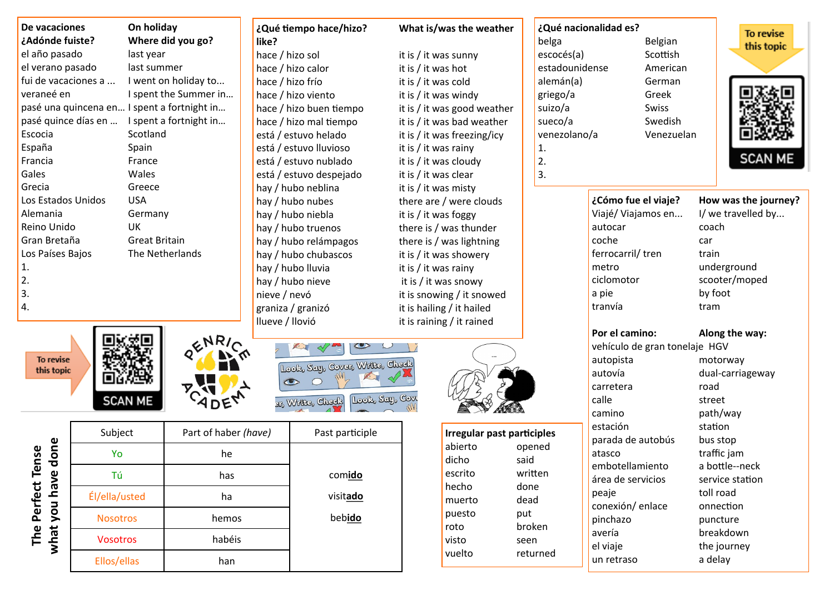| el año pasado<br>el verano pasado<br>fui de vacaciones a<br>veraneé en<br>pasé quince días en<br>Escocia<br>España<br>Francia<br>Gales<br>Grecia<br>Los Estados Unidos<br>Alemania<br>Reino Unido<br>Gran Bretaña<br>Los Países Bajos<br>1.<br>2.<br>3.<br>4.<br>To revise<br>this topic | last year<br>last summer<br>pasé una quincena en I spent a fortnight in<br>Scotland<br>Spain<br>France<br>Wales<br>Greece<br><b>USA</b><br>Germany<br>UK<br><b>Great Britain</b> | I went on holiday to<br>I spent the Summer in<br>I spent a fortnight in<br>The Netherlands | hace / hizo sol<br>hace / hizo calor<br>hace / hizo frío<br>hace / hizo viento<br>hace / hizo buen tiempo<br>hace / hizo mal tiempo<br>está / estuvo helado<br>está / estuvo lluvioso<br>está / estuvo nublado<br>está / estuvo despejado<br>hay / hubo neblina<br>hay / hubo nubes<br>hay / hubo niebla<br>hay / hubo truenos<br>hay / hubo relámpagos<br>hay / hubo chubascos<br>hay / hubo lluvia<br>hay / hubo nieve<br>nieve / nevó<br>graniza / granizó | it is / it was hot | it is $/$ it was sunny<br>it is / it was cold<br>it is $/$ it was windy<br>it is / it was good weather<br>it is / it was bad weather<br>it is / it was freezing/icy<br>it is $/$ it was rainy<br>it is / it was cloudy<br>it is / it was clear<br>it is / it was misty<br>there are / were clouds<br>it is $/$ it was foggy<br>there is / was thunder<br>there is / was lightning<br>it is / it was showery<br>it is $/$ it was rainy<br>it is / it was snowy<br>it is snowing / it snowed | belga<br>escocés(a)<br>estadounidense<br>alemán(a)<br>griego/a<br>suizo/a<br>sueco/a<br>venezolano/a<br>1.<br>2.<br>3. | ¿Cómo fue el viaje?<br>Viajé/ Viajamos en<br>autocar<br>coche<br>ferrocarril/tren<br>metro<br>ciclomotor | Belgian<br>Scottish<br>American<br>German<br>Greek<br>Swiss<br>Swedish<br>Venezuelan | this topic<br><b>SCAN ME</b><br>How was the journey?<br>I/ we travelled by<br>coach<br>car<br>train<br>underground<br>scooter/moped |
|------------------------------------------------------------------------------------------------------------------------------------------------------------------------------------------------------------------------------------------------------------------------------------------|----------------------------------------------------------------------------------------------------------------------------------------------------------------------------------|--------------------------------------------------------------------------------------------|---------------------------------------------------------------------------------------------------------------------------------------------------------------------------------------------------------------------------------------------------------------------------------------------------------------------------------------------------------------------------------------------------------------------------------------------------------------|--------------------|--------------------------------------------------------------------------------------------------------------------------------------------------------------------------------------------------------------------------------------------------------------------------------------------------------------------------------------------------------------------------------------------------------------------------------------------------------------------------------------------|------------------------------------------------------------------------------------------------------------------------|----------------------------------------------------------------------------------------------------------|--------------------------------------------------------------------------------------|-------------------------------------------------------------------------------------------------------------------------------------|
|                                                                                                                                                                                                                                                                                          |                                                                                                                                                                                  |                                                                                            |                                                                                                                                                                                                                                                                                                                                                                                                                                                               |                    |                                                                                                                                                                                                                                                                                                                                                                                                                                                                                            |                                                                                                                        |                                                                                                          |                                                                                      |                                                                                                                                     |
|                                                                                                                                                                                                                                                                                          |                                                                                                                                                                                  |                                                                                            |                                                                                                                                                                                                                                                                                                                                                                                                                                                               |                    |                                                                                                                                                                                                                                                                                                                                                                                                                                                                                            |                                                                                                                        |                                                                                                          |                                                                                      |                                                                                                                                     |
|                                                                                                                                                                                                                                                                                          |                                                                                                                                                                                  |                                                                                            |                                                                                                                                                                                                                                                                                                                                                                                                                                                               |                    |                                                                                                                                                                                                                                                                                                                                                                                                                                                                                            |                                                                                                                        |                                                                                                          |                                                                                      |                                                                                                                                     |
|                                                                                                                                                                                                                                                                                          |                                                                                                                                                                                  |                                                                                            |                                                                                                                                                                                                                                                                                                                                                                                                                                                               |                    |                                                                                                                                                                                                                                                                                                                                                                                                                                                                                            |                                                                                                                        |                                                                                                          |                                                                                      |                                                                                                                                     |
|                                                                                                                                                                                                                                                                                          |                                                                                                                                                                                  |                                                                                            |                                                                                                                                                                                                                                                                                                                                                                                                                                                               |                    |                                                                                                                                                                                                                                                                                                                                                                                                                                                                                            |                                                                                                                        |                                                                                                          |                                                                                      |                                                                                                                                     |
|                                                                                                                                                                                                                                                                                          |                                                                                                                                                                                  |                                                                                            |                                                                                                                                                                                                                                                                                                                                                                                                                                                               |                    |                                                                                                                                                                                                                                                                                                                                                                                                                                                                                            |                                                                                                                        |                                                                                                          |                                                                                      |                                                                                                                                     |
|                                                                                                                                                                                                                                                                                          |                                                                                                                                                                                  |                                                                                            |                                                                                                                                                                                                                                                                                                                                                                                                                                                               |                    |                                                                                                                                                                                                                                                                                                                                                                                                                                                                                            |                                                                                                                        |                                                                                                          |                                                                                      |                                                                                                                                     |
|                                                                                                                                                                                                                                                                                          |                                                                                                                                                                                  |                                                                                            |                                                                                                                                                                                                                                                                                                                                                                                                                                                               |                    |                                                                                                                                                                                                                                                                                                                                                                                                                                                                                            |                                                                                                                        |                                                                                                          |                                                                                      |                                                                                                                                     |
|                                                                                                                                                                                                                                                                                          |                                                                                                                                                                                  |                                                                                            |                                                                                                                                                                                                                                                                                                                                                                                                                                                               |                    |                                                                                                                                                                                                                                                                                                                                                                                                                                                                                            |                                                                                                                        |                                                                                                          |                                                                                      |                                                                                                                                     |
|                                                                                                                                                                                                                                                                                          |                                                                                                                                                                                  |                                                                                            |                                                                                                                                                                                                                                                                                                                                                                                                                                                               |                    |                                                                                                                                                                                                                                                                                                                                                                                                                                                                                            |                                                                                                                        |                                                                                                          |                                                                                      |                                                                                                                                     |
|                                                                                                                                                                                                                                                                                          |                                                                                                                                                                                  |                                                                                            |                                                                                                                                                                                                                                                                                                                                                                                                                                                               |                    |                                                                                                                                                                                                                                                                                                                                                                                                                                                                                            |                                                                                                                        |                                                                                                          |                                                                                      |                                                                                                                                     |
|                                                                                                                                                                                                                                                                                          |                                                                                                                                                                                  |                                                                                            |                                                                                                                                                                                                                                                                                                                                                                                                                                                               |                    |                                                                                                                                                                                                                                                                                                                                                                                                                                                                                            |                                                                                                                        |                                                                                                          |                                                                                      |                                                                                                                                     |
|                                                                                                                                                                                                                                                                                          |                                                                                                                                                                                  |                                                                                            |                                                                                                                                                                                                                                                                                                                                                                                                                                                               |                    |                                                                                                                                                                                                                                                                                                                                                                                                                                                                                            |                                                                                                                        |                                                                                                          |                                                                                      |                                                                                                                                     |
|                                                                                                                                                                                                                                                                                          |                                                                                                                                                                                  |                                                                                            |                                                                                                                                                                                                                                                                                                                                                                                                                                                               |                    |                                                                                                                                                                                                                                                                                                                                                                                                                                                                                            |                                                                                                                        |                                                                                                          |                                                                                      |                                                                                                                                     |
|                                                                                                                                                                                                                                                                                          |                                                                                                                                                                                  |                                                                                            |                                                                                                                                                                                                                                                                                                                                                                                                                                                               |                    |                                                                                                                                                                                                                                                                                                                                                                                                                                                                                            |                                                                                                                        |                                                                                                          |                                                                                      |                                                                                                                                     |
|                                                                                                                                                                                                                                                                                          |                                                                                                                                                                                  |                                                                                            |                                                                                                                                                                                                                                                                                                                                                                                                                                                               |                    |                                                                                                                                                                                                                                                                                                                                                                                                                                                                                            |                                                                                                                        |                                                                                                          |                                                                                      |                                                                                                                                     |
|                                                                                                                                                                                                                                                                                          |                                                                                                                                                                                  |                                                                                            |                                                                                                                                                                                                                                                                                                                                                                                                                                                               |                    |                                                                                                                                                                                                                                                                                                                                                                                                                                                                                            |                                                                                                                        |                                                                                                          |                                                                                      |                                                                                                                                     |
|                                                                                                                                                                                                                                                                                          |                                                                                                                                                                                  |                                                                                            |                                                                                                                                                                                                                                                                                                                                                                                                                                                               |                    |                                                                                                                                                                                                                                                                                                                                                                                                                                                                                            |                                                                                                                        |                                                                                                          |                                                                                      |                                                                                                                                     |
|                                                                                                                                                                                                                                                                                          |                                                                                                                                                                                  |                                                                                            |                                                                                                                                                                                                                                                                                                                                                                                                                                                               |                    |                                                                                                                                                                                                                                                                                                                                                                                                                                                                                            |                                                                                                                        | a pie                                                                                                    |                                                                                      | by foot                                                                                                                             |
|                                                                                                                                                                                                                                                                                          |                                                                                                                                                                                  |                                                                                            |                                                                                                                                                                                                                                                                                                                                                                                                                                                               |                    | it is hailing / it hailed                                                                                                                                                                                                                                                                                                                                                                                                                                                                  |                                                                                                                        | tranvía                                                                                                  |                                                                                      | tram                                                                                                                                |
|                                                                                                                                                                                                                                                                                          |                                                                                                                                                                                  |                                                                                            | Ilueve / Ilovió                                                                                                                                                                                                                                                                                                                                                                                                                                               |                    | it is raining / it rained                                                                                                                                                                                                                                                                                                                                                                                                                                                                  |                                                                                                                        |                                                                                                          |                                                                                      |                                                                                                                                     |
|                                                                                                                                                                                                                                                                                          |                                                                                                                                                                                  | 2NRI                                                                                       |                                                                                                                                                                                                                                                                                                                                                                                                                                                               |                    |                                                                                                                                                                                                                                                                                                                                                                                                                                                                                            |                                                                                                                        | Por el camino:<br>vehículo de gran tonelaje HGV                                                          |                                                                                      | Along the way:                                                                                                                      |
|                                                                                                                                                                                                                                                                                          |                                                                                                                                                                                  |                                                                                            |                                                                                                                                                                                                                                                                                                                                                                                                                                                               |                    |                                                                                                                                                                                                                                                                                                                                                                                                                                                                                            |                                                                                                                        | autopista                                                                                                |                                                                                      | motorway                                                                                                                            |
|                                                                                                                                                                                                                                                                                          |                                                                                                                                                                                  |                                                                                            | Look, Say, Cover, Write, Check                                                                                                                                                                                                                                                                                                                                                                                                                                |                    |                                                                                                                                                                                                                                                                                                                                                                                                                                                                                            |                                                                                                                        | autovía                                                                                                  |                                                                                      | dual-carriageway                                                                                                                    |
|                                                                                                                                                                                                                                                                                          |                                                                                                                                                                                  |                                                                                            | $\bigcap$<br>$\bullet$                                                                                                                                                                                                                                                                                                                                                                                                                                        |                    |                                                                                                                                                                                                                                                                                                                                                                                                                                                                                            |                                                                                                                        | carretera                                                                                                |                                                                                      | road                                                                                                                                |
|                                                                                                                                                                                                                                                                                          |                                                                                                                                                                                  |                                                                                            |                                                                                                                                                                                                                                                                                                                                                                                                                                                               | Look, Say, Cove    |                                                                                                                                                                                                                                                                                                                                                                                                                                                                                            |                                                                                                                        | calle                                                                                                    |                                                                                      | street                                                                                                                              |
|                                                                                                                                                                                                                                                                                          | <b>SCAN ME</b>                                                                                                                                                                   | DEY                                                                                        | Br Write, Check                                                                                                                                                                                                                                                                                                                                                                                                                                               |                    |                                                                                                                                                                                                                                                                                                                                                                                                                                                                                            |                                                                                                                        | camino                                                                                                   |                                                                                      | path/way                                                                                                                            |
|                                                                                                                                                                                                                                                                                          |                                                                                                                                                                                  |                                                                                            |                                                                                                                                                                                                                                                                                                                                                                                                                                                               |                    |                                                                                                                                                                                                                                                                                                                                                                                                                                                                                            |                                                                                                                        | estación                                                                                                 |                                                                                      |                                                                                                                                     |
|                                                                                                                                                                                                                                                                                          | Subject                                                                                                                                                                          | Part of haber (have)                                                                       | Past participle                                                                                                                                                                                                                                                                                                                                                                                                                                               |                    | Irregular past participles                                                                                                                                                                                                                                                                                                                                                                                                                                                                 |                                                                                                                        |                                                                                                          |                                                                                      | station                                                                                                                             |
| done                                                                                                                                                                                                                                                                                     |                                                                                                                                                                                  |                                                                                            |                                                                                                                                                                                                                                                                                                                                                                                                                                                               |                    | abierto                                                                                                                                                                                                                                                                                                                                                                                                                                                                                    | opened                                                                                                                 | parada de autobús                                                                                        |                                                                                      | bus stop                                                                                                                            |
| $\bullet$                                                                                                                                                                                                                                                                                | Yo                                                                                                                                                                               | he                                                                                         |                                                                                                                                                                                                                                                                                                                                                                                                                                                               |                    | dicho                                                                                                                                                                                                                                                                                                                                                                                                                                                                                      | said                                                                                                                   | atasco<br>embotellamiento                                                                                |                                                                                      | traffic jam<br>a bottle--neck                                                                                                       |
|                                                                                                                                                                                                                                                                                          | Tú                                                                                                                                                                               | has                                                                                        | comido                                                                                                                                                                                                                                                                                                                                                                                                                                                        |                    | escrito                                                                                                                                                                                                                                                                                                                                                                                                                                                                                    | written                                                                                                                | área de servicios                                                                                        |                                                                                      | service station                                                                                                                     |
| Perfect Tense                                                                                                                                                                                                                                                                            | Él/ella/usted                                                                                                                                                                    | ha                                                                                         | visitado                                                                                                                                                                                                                                                                                                                                                                                                                                                      |                    | hecho<br>muerto                                                                                                                                                                                                                                                                                                                                                                                                                                                                            | done<br>dead                                                                                                           | peaje                                                                                                    |                                                                                      | toll road                                                                                                                           |
|                                                                                                                                                                                                                                                                                          |                                                                                                                                                                                  |                                                                                            |                                                                                                                                                                                                                                                                                                                                                                                                                                                               |                    | puesto                                                                                                                                                                                                                                                                                                                                                                                                                                                                                     | put                                                                                                                    | conexión/ enlace                                                                                         |                                                                                      | onnection                                                                                                                           |
|                                                                                                                                                                                                                                                                                          | <b>Nosotros</b>                                                                                                                                                                  | hemos                                                                                      | bebido                                                                                                                                                                                                                                                                                                                                                                                                                                                        |                    | roto                                                                                                                                                                                                                                                                                                                                                                                                                                                                                       | broken                                                                                                                 | pinchazo                                                                                                 |                                                                                      | puncture                                                                                                                            |
| what you have<br>The                                                                                                                                                                                                                                                                     |                                                                                                                                                                                  |                                                                                            |                                                                                                                                                                                                                                                                                                                                                                                                                                                               |                    | visto                                                                                                                                                                                                                                                                                                                                                                                                                                                                                      | seen                                                                                                                   | avería<br>el viaje                                                                                       |                                                                                      | breakdown<br>the journey                                                                                                            |
|                                                                                                                                                                                                                                                                                          | <b>Vosotros</b>                                                                                                                                                                  | habéis                                                                                     |                                                                                                                                                                                                                                                                                                                                                                                                                                                               |                    | vuelto                                                                                                                                                                                                                                                                                                                                                                                                                                                                                     | returned                                                                                                               | un retraso                                                                                               |                                                                                      | a delay                                                                                                                             |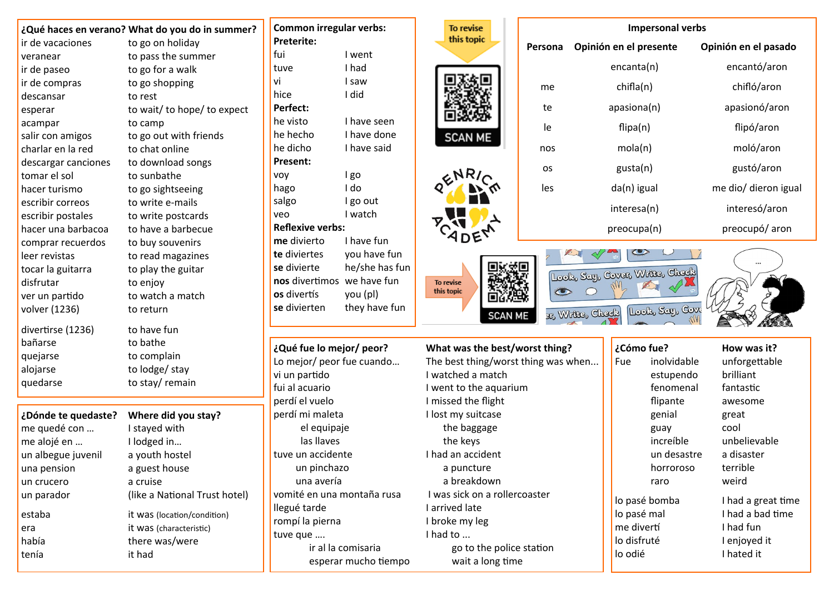|                     | ¿Qué haces en verano? What do you do in summer? |
|---------------------|-------------------------------------------------|
| ir de vacaciones    | to go on holiday                                |
| veranear            | to pass the summer                              |
| ir de paseo         | to go for a walk                                |
| ir de compras       | to go shopping                                  |
| descansar           | to rest                                         |
| esperar             | to wait/ to hope/ to expect                     |
| acampar             | to camp                                         |
| salir con amigos    | to go out with friends                          |
| charlar en la red   | to chat online                                  |
| descargar canciones | to download songs                               |
| tomar el sol        | to sunbathe                                     |
| hacer turismo       | to go sightseeing                               |
| escribir correos    | to write e-mails                                |
| escribir postales   | to write postcards                              |
| hacer una barbacoa  | to have a barbecue                              |
| comprar recuerdos   | to buy souvenirs                                |
| leer revistas       | to read magazines                               |
| tocar la guitarra   | to play the guitar                              |
| disfrutar           | to enjoy                                        |
| ver un partido      | to watch a match                                |
| volver (1236)       | to return                                       |
| divertirse (1236)   | to have fun                                     |
| bañarse             | to bathe                                        |
| quejarse            | to complain                                     |
| alojarse            | to lodge/ stay                                  |
| quedarse            | to stay/remain                                  |
| ¿Dónde te quedaste? | Where did you stay?                             |
| me quedé con        | I stayed with                                   |
| me alojé en         | I lodged in                                     |
| un albegue juvenil  | a youth hostel                                  |
| una pension         | a guest house                                   |
| un crucero          | a cruise                                        |
| un parador          | (like a National Trust hotel)                   |
|                     |                                                 |
| estaba              | it was (location/condition)                     |
| era                 | it was (characteristic)                         |
| había               | there was/were                                  |
| tenía               | it had                                          |
|                     |                                                 |

|                         | <b>Common irregular verbs:</b> | To revise                           |           |                 |  |  |  |
|-------------------------|--------------------------------|-------------------------------------|-----------|-----------------|--|--|--|
| <b>Preterite:</b>       |                                | this topic                          | Persona   | Opinión         |  |  |  |
| fui                     | I went                         |                                     |           |                 |  |  |  |
| tuve                    | I had                          |                                     |           |                 |  |  |  |
| vi                      | I saw                          |                                     |           |                 |  |  |  |
| hice                    | I did                          |                                     | me        |                 |  |  |  |
| Perfect:                |                                |                                     | te        |                 |  |  |  |
| he visto                | I have seen                    |                                     |           |                 |  |  |  |
| he hecho                | I have done                    | <b>SCAN ME</b>                      | le        |                 |  |  |  |
| he dicho                | I have said                    |                                     | nos       |                 |  |  |  |
| Present:                |                                |                                     |           |                 |  |  |  |
| voy                     | I go                           | ENR                                 | os        |                 |  |  |  |
| hago                    | I do                           |                                     | les       |                 |  |  |  |
| salgo                   | I go out                       |                                     |           |                 |  |  |  |
| veo                     | I watch                        |                                     |           |                 |  |  |  |
| <b>Reflexive verbs:</b> |                                |                                     |           |                 |  |  |  |
| me divierto             | I have fun                     |                                     |           |                 |  |  |  |
| te diviertes            | you have fun                   |                                     |           |                 |  |  |  |
| se divierte             | he/she has fun                 |                                     |           |                 |  |  |  |
|                         | nos divertimos we have fun     | To revise                           |           | Look, Say, C    |  |  |  |
| <b>os</b> divertís      | you (pl)                       | this topic                          | $\bullet$ |                 |  |  |  |
| se divierten            | they have fun                  |                                     |           |                 |  |  |  |
|                         |                                | SCAN                                |           | Br, Writes, Che |  |  |  |
|                         |                                |                                     |           |                 |  |  |  |
|                         | ¿Qué fue lo mejor/ peor?       | What was the best/worst thing?      |           |                 |  |  |  |
|                         | Lo mejor/ peor fue cuando      | The best thing/worst thing was when |           |                 |  |  |  |
| vi un partido           |                                | I watched a match                   |           |                 |  |  |  |
| fui al acuario          |                                | I went to the aquarium              |           |                 |  |  |  |
| perdí el vuelo          |                                | I missed the flight                 |           |                 |  |  |  |
| perdí mi maleta         |                                | I lost my suitcase                  |           |                 |  |  |  |
|                         | el equipaje                    | the baggage                         |           |                 |  |  |  |
|                         | las llaves                     | the keys                            |           |                 |  |  |  |
| tuve un accidente       |                                | I had an accident                   |           |                 |  |  |  |
|                         | un pinchazo                    | a puncture                          |           |                 |  |  |  |
| una avería              |                                | a breakdown                         |           |                 |  |  |  |
|                         | vomité en una montaña rusa     | I was sick on a rollercoaster       |           |                 |  |  |  |
| llegué tarde            |                                | I arrived late                      |           |                 |  |  |  |
| rompí la pierna         |                                | I broke my leg                      |           |                 |  |  |  |

tuve que .... **I had to ...** 

ir al la comisaria electronic station go to the police station

esperar mucho tiempo wait a long time

|                                                                            |  | <b>Impersonal verbs</b> |                      |  |
|----------------------------------------------------------------------------|--|-------------------------|----------------------|--|
| Persona                                                                    |  | Opinión en el presente  | Opinión en el pasado |  |
|                                                                            |  | encanta(n)              | encantó/aron         |  |
| me                                                                         |  | chifla(n)               | chifló/aron          |  |
| te                                                                         |  | apasiona(n)             | apasionó/aron        |  |
| le                                                                         |  | flipa(n)                | flipó/aron           |  |
| nos                                                                        |  | mola(n)                 | moló/aron            |  |
| <b>OS</b>                                                                  |  | gusta(n)                | gustó/aron           |  |
| les                                                                        |  | da(n) igual             | me dio/ dieron igual |  |
|                                                                            |  | interesa(n)             | interesó/aron        |  |
|                                                                            |  | preocupa(n)             | preocupó/aron        |  |
| Į<br>Look, Say, Cover, Write, Check<br>Look, Say, Cove<br>31% Write, Check |  |                         |                      |  |
| orst thing?                                                                |  | ¿Cómo fue?              | How was it?          |  |

| ıg r   | ccomo ider  |               | <b>NUW WAS IL!</b> |
|--------|-------------|---------------|--------------------|
| s when | <b>Fue</b>  | inolvidable   | unforgettable      |
|        |             | estupendo     | brilliant          |
|        |             | fenomenal     | fantastic          |
|        |             | flipante      | awesome            |
|        |             | genial        | great              |
|        |             | guay          | cool               |
|        |             | increíble     | unbelievable       |
|        |             | un desastre   | a disaster         |
|        |             | horroroso     | terrible           |
|        |             | raro          | weird              |
|        |             | lo pasé bomba | I had a great time |
|        | lo pasé mal |               | I had a bad time   |
|        | me divertí  |               | I had fun          |
|        | lo disfruté |               | I enjoyed it       |
|        | lo odié     |               | I hated it         |
|        |             |               |                    |